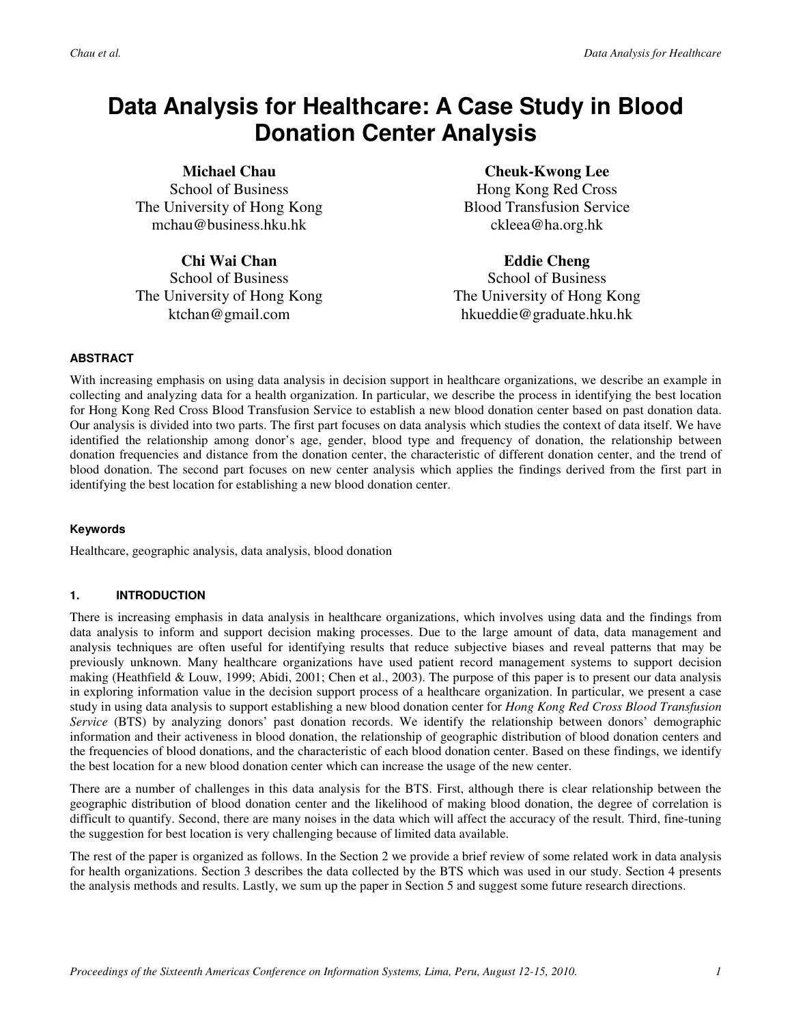# **Data Analysis for Healthcare: A Case Study in Blood Donation Center Analysis**

**Michael Chau** 

School of Business The University of Hong Kong mchau@business.hku.hk

## **Chi Wai Chan**

School of Business The University of Hong Kong ktchan@gmail.com

# **Cheuk-Kwong Lee**

Hong Kong Red Cross Blood Transfusion Service ckleea@ha.org.hk

## **Eddie Cheng**

School of Business The University of Hong Kong hkueddie@graduate.hku.hk

### **ABSTRACT**

With increasing emphasis on using data analysis in decision support in healthcare organizations, we describe an example in collecting and analyzing data for a health organization. In particular, we describe the process in identifying the best location for Hong Kong Red Cross Blood Transfusion Service to establish a new blood donation center based on past donation data. Our analysis is divided into two parts. The first part focuses on data analysis which studies the context of data itself. We have identified the relationship among donor's age, gender, blood type and frequency of donation, the relationship between donation frequencies and distance from the donation center, the characteristic of different donation center, and the trend of blood donation. The second part focuses on new center analysis which applies the findings derived from the first part in identifying the best location for establishing a new blood donation center.

### **Keywords**

Healthcare, geographic analysis, data analysis, blood donation

## **1. INTRODUCTION**

There is increasing emphasis in data analysis in healthcare organizations, which involves using data and the findings from data analysis to inform and support decision making processes. Due to the large amount of data, data management and analysis techniques are often useful for identifying results that reduce subjective biases and reveal patterns that may be previously unknown. Many healthcare organizations have used patient record management systems to support decision making (Heathfield & Louw, 1999; Abidi, 2001; Chen et al., 2003). The purpose of this paper is to present our data analysis in exploring information value in the decision support process of a healthcare organization. In particular, we present a case study in using data analysis to support establishing a new blood donation center for *Hong Kong Red Cross Blood Transfusion Service* (BTS) by analyzing donors' past donation records. We identify the relationship between donors' demographic information and their activeness in blood donation, the relationship of geographic distribution of blood donation centers and the frequencies of blood donations, and the characteristic of each blood donation center. Based on these findings, we identify the best location for a new blood donation center which can increase the usage of the new center.

There are a number of challenges in this data analysis for the BTS. First, although there is clear relationship between the geographic distribution of blood donation center and the likelihood of making blood donation, the degree of correlation is difficult to quantify. Second, there are many noises in the data which will affect the accuracy of the result. Third, fine-tuning the suggestion for best location is very challenging because of limited data available.

The rest of the paper is organized as follows. In the Section 2 we provide a brief review of some related work in data analysis for health organizations. Section 3 describes the data collected by the BTS which was used in our study. Section 4 presents the analysis methods and results. Lastly, we sum up the paper in Section 5 and suggest some future research directions.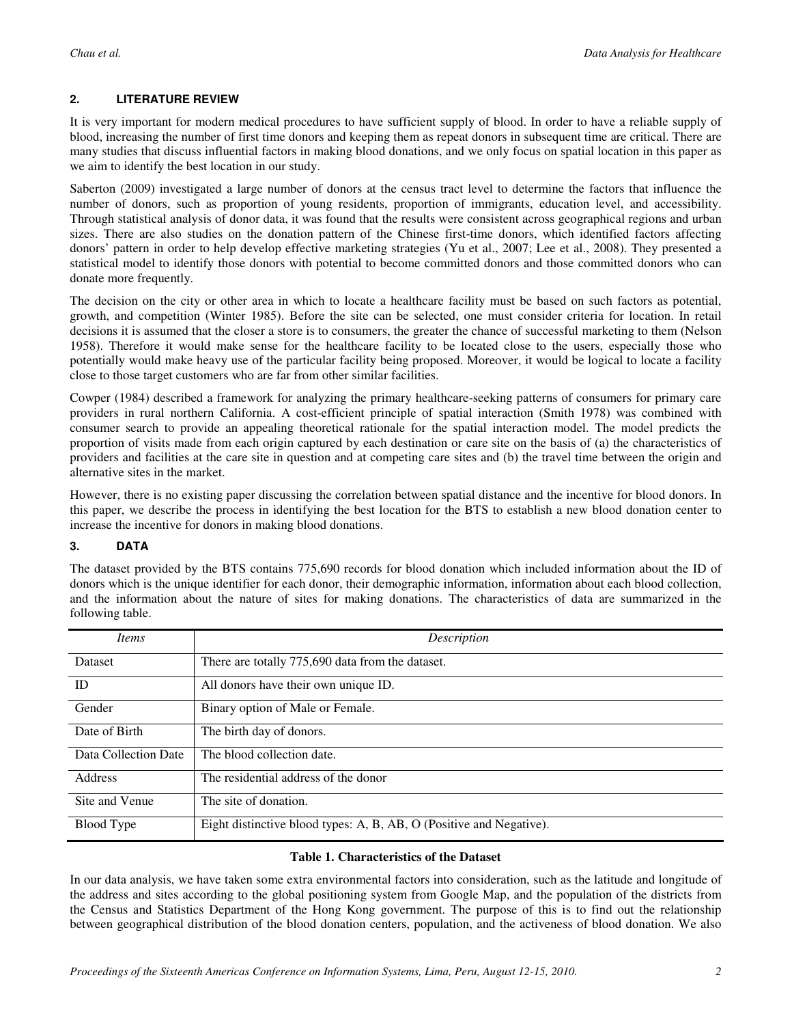## **2. LITERATURE REVIEW**

It is very important for modern medical procedures to have sufficient supply of blood. In order to have a reliable supply of blood, increasing the number of first time donors and keeping them as repeat donors in subsequent time are critical. There are many studies that discuss influential factors in making blood donations, and we only focus on spatial location in this paper as we aim to identify the best location in our study.

Saberton (2009) investigated a large number of donors at the census tract level to determine the factors that influence the number of donors, such as proportion of young residents, proportion of immigrants, education level, and accessibility. Through statistical analysis of donor data, it was found that the results were consistent across geographical regions and urban sizes. There are also studies on the donation pattern of the Chinese first-time donors, which identified factors affecting donors' pattern in order to help develop effective marketing strategies (Yu et al., 2007; Lee et al., 2008). They presented a statistical model to identify those donors with potential to become committed donors and those committed donors who can donate more frequently.

The decision on the city or other area in which to locate a healthcare facility must be based on such factors as potential, growth, and competition (Winter 1985). Before the site can be selected, one must consider criteria for location. In retail decisions it is assumed that the closer a store is to consumers, the greater the chance of successful marketing to them (Nelson 1958). Therefore it would make sense for the healthcare facility to be located close to the users, especially those who potentially would make heavy use of the particular facility being proposed. Moreover, it would be logical to locate a facility close to those target customers who are far from other similar facilities.

Cowper (1984) described a framework for analyzing the primary healthcare-seeking patterns of consumers for primary care providers in rural northern California. A cost-efficient principle of spatial interaction (Smith 1978) was combined with consumer search to provide an appealing theoretical rationale for the spatial interaction model. The model predicts the proportion of visits made from each origin captured by each destination or care site on the basis of (a) the characteristics of providers and facilities at the care site in question and at competing care sites and (b) the travel time between the origin and alternative sites in the market.

However, there is no existing paper discussing the correlation between spatial distance and the incentive for blood donors. In this paper, we describe the process in identifying the best location for the BTS to establish a new blood donation center to increase the incentive for donors in making blood donations.

### **3. DATA**

The dataset provided by the BTS contains 775,690 records for blood donation which included information about the ID of donors which is the unique identifier for each donor, their demographic information, information about each blood collection, and the information about the nature of sites for making donations. The characteristics of data are summarized in the following table.

| <i>Items</i>         | Description                                                         |  |  |  |  |
|----------------------|---------------------------------------------------------------------|--|--|--|--|
| <b>Dataset</b>       | There are totally 775,690 data from the dataset.                    |  |  |  |  |
| ID                   | All donors have their own unique ID.                                |  |  |  |  |
| Gender               | Binary option of Male or Female.                                    |  |  |  |  |
| Date of Birth        | The birth day of donors.                                            |  |  |  |  |
| Data Collection Date | The blood collection date.                                          |  |  |  |  |
| <b>Address</b>       | The residential address of the donor                                |  |  |  |  |
| Site and Venue       | The site of donation.                                               |  |  |  |  |
| Blood Type           | Eight distinctive blood types: A, B, AB, O (Positive and Negative). |  |  |  |  |

### **Table 1. Characteristics of the Dataset**

In our data analysis, we have taken some extra environmental factors into consideration, such as the latitude and longitude of the address and sites according to the global positioning system from Google Map, and the population of the districts from the Census and Statistics Department of the Hong Kong government. The purpose of this is to find out the relationship between geographical distribution of the blood donation centers, population, and the activeness of blood donation. We also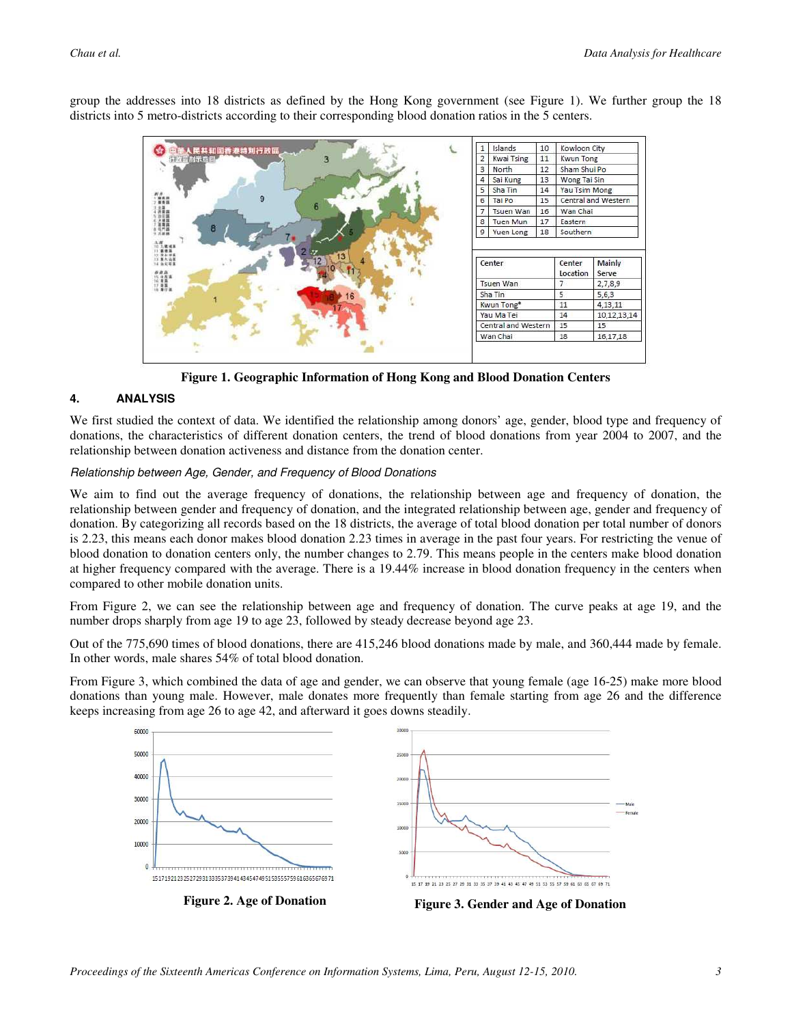

group the addresses into 18 districts as defined by the Hong Kong government (see Figure 1). We further group the 18 districts into 5 metro-districts according to their corresponding blood donation ratios in the 5 centers.

**Figure 1. Geographic Information of Hong Kong and Blood Donation Centers** 

### **4. ANALYSIS**

We first studied the context of data. We identified the relationship among donors' age, gender, blood type and frequency of donations, the characteristics of different donation centers, the trend of blood donations from year 2004 to 2007, and the relationship between donation activeness and distance from the donation center.

#### Relationship between Age, Gender, and Frequency of Blood Donations

We aim to find out the average frequency of donations, the relationship between age and frequency of donation, the relationship between gender and frequency of donation, and the integrated relationship between age, gender and frequency of donation. By categorizing all records based on the 18 districts, the average of total blood donation per total number of donors is 2.23, this means each donor makes blood donation 2.23 times in average in the past four years. For restricting the venue of blood donation to donation centers only, the number changes to 2.79. This means people in the centers make blood donation at higher frequency compared with the average. There is a 19.44% increase in blood donation frequency in the centers when compared to other mobile donation units.

From Figure 2, we can see the relationship between age and frequency of donation. The curve peaks at age 19, and the number drops sharply from age 19 to age 23, followed by steady decrease beyond age 23.

Out of the 775,690 times of blood donations, there are 415,246 blood donations made by male, and 360,444 made by female. In other words, male shares 54% of total blood donation.

From Figure 3, which combined the data of age and gender, we can observe that young female (age 16-25) make more blood donations than young male. However, male donates more frequently than female starting from age 26 and the difference keeps increasing from age 26 to age 42, and afterward it goes downs steadily.

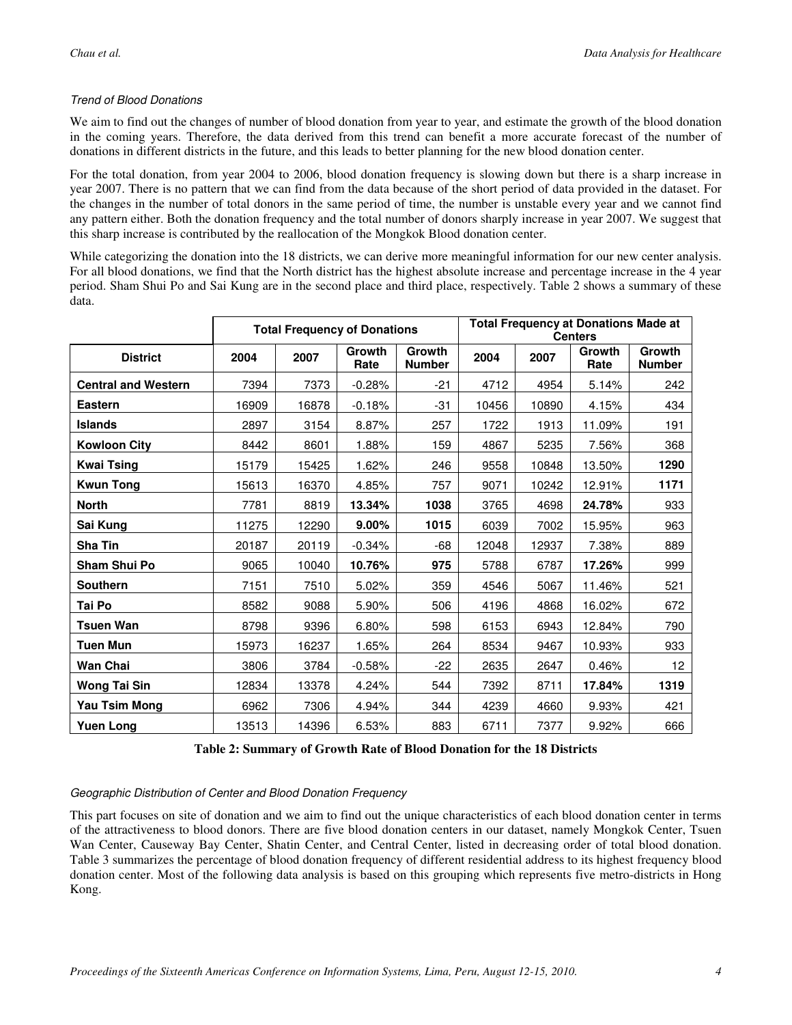### Trend of Blood Donations

We aim to find out the changes of number of blood donation from year to year, and estimate the growth of the blood donation in the coming years. Therefore, the data derived from this trend can benefit a more accurate forecast of the number of donations in different districts in the future, and this leads to better planning for the new blood donation center.

For the total donation, from year 2004 to 2006, blood donation frequency is slowing down but there is a sharp increase in year 2007. There is no pattern that we can find from the data because of the short period of data provided in the dataset. For the changes in the number of total donors in the same period of time, the number is unstable every year and we cannot find any pattern either. Both the donation frequency and the total number of donors sharply increase in year 2007. We suggest that this sharp increase is contributed by the reallocation of the Mongkok Blood donation center.

While categorizing the donation into the 18 districts, we can derive more meaningful information for our new center analysis. For all blood donations, we find that the North district has the highest absolute increase and percentage increase in the 4 year period. Sham Shui Po and Sai Kung are in the second place and third place, respectively. Table 2 shows a summary of these data.

|                            | <b>Total Frequency of Donations</b> |       |                | <b>Total Frequency at Donations Made at</b><br><b>Centers</b> |       |       |                |                         |
|----------------------------|-------------------------------------|-------|----------------|---------------------------------------------------------------|-------|-------|----------------|-------------------------|
| <b>District</b>            | 2004                                | 2007  | Growth<br>Rate | Growth<br><b>Number</b>                                       | 2004  | 2007  | Growth<br>Rate | Growth<br><b>Number</b> |
| <b>Central and Western</b> | 7394                                | 7373  | $-0.28%$       | $-21$                                                         | 4712  | 4954  | 5.14%          | 242                     |
| <b>Eastern</b>             | 16909                               | 16878 | $-0.18%$       | $-31$                                                         | 10456 | 10890 | 4.15%          | 434                     |
| <b>Islands</b>             | 2897                                | 3154  | 8.87%          | 257                                                           | 1722  | 1913  | 11.09%         | 191                     |
| <b>Kowloon City</b>        | 8442                                | 8601  | 1.88%          | 159                                                           | 4867  | 5235  | 7.56%          | 368                     |
| <b>Kwai Tsing</b>          | 15179                               | 15425 | 1.62%          | 246                                                           | 9558  | 10848 | 13.50%         | 1290                    |
| <b>Kwun Tong</b>           | 15613                               | 16370 | 4.85%          | 757                                                           | 9071  | 10242 | 12.91%         | 1171                    |
| <b>North</b>               | 7781                                | 8819  | 13.34%         | 1038                                                          | 3765  | 4698  | 24.78%         | 933                     |
| Sai Kung                   | 11275                               | 12290 | 9.00%          | 1015                                                          | 6039  | 7002  | 15.95%         | 963                     |
| Sha Tin                    | 20187                               | 20119 | $-0.34%$       | -68                                                           | 12048 | 12937 | 7.38%          | 889                     |
| <b>Sham Shui Po</b>        | 9065                                | 10040 | 10.76%         | 975                                                           | 5788  | 6787  | 17.26%         | 999                     |
| <b>Southern</b>            | 7151                                | 7510  | 5.02%          | 359                                                           | 4546  | 5067  | 11.46%         | 521                     |
| Tai Po                     | 8582                                | 9088  | 5.90%          | 506                                                           | 4196  | 4868  | 16.02%         | 672                     |
| Tsuen Wan                  | 8798                                | 9396  | 6.80%          | 598                                                           | 6153  | 6943  | 12.84%         | 790                     |
| <b>Tuen Mun</b>            | 15973                               | 16237 | 1.65%          | 264                                                           | 8534  | 9467  | 10.93%         | 933                     |
| Wan Chai                   | 3806                                | 3784  | $-0.58%$       | $-22$                                                         | 2635  | 2647  | 0.46%          | 12 <sub>2</sub>         |
| Wong Tai Sin               | 12834                               | 13378 | 4.24%          | 544                                                           | 7392  | 8711  | 17.84%         | 1319                    |
| Yau Tsim Mong              | 6962                                | 7306  | 4.94%          | 344                                                           | 4239  | 4660  | 9.93%          | 421                     |
| <b>Yuen Long</b>           | 13513                               | 14396 | 6.53%          | 883                                                           | 6711  | 7377  | 9.92%          | 666                     |

**Table 2: Summary of Growth Rate of Blood Donation for the 18 Districts** 

#### Geographic Distribution of Center and Blood Donation Frequency

This part focuses on site of donation and we aim to find out the unique characteristics of each blood donation center in terms of the attractiveness to blood donors. There are five blood donation centers in our dataset, namely Mongkok Center, Tsuen Wan Center, Causeway Bay Center, Shatin Center, and Central Center, listed in decreasing order of total blood donation. Table 3 summarizes the percentage of blood donation frequency of different residential address to its highest frequency blood donation center. Most of the following data analysis is based on this grouping which represents five metro-districts in Hong Kong.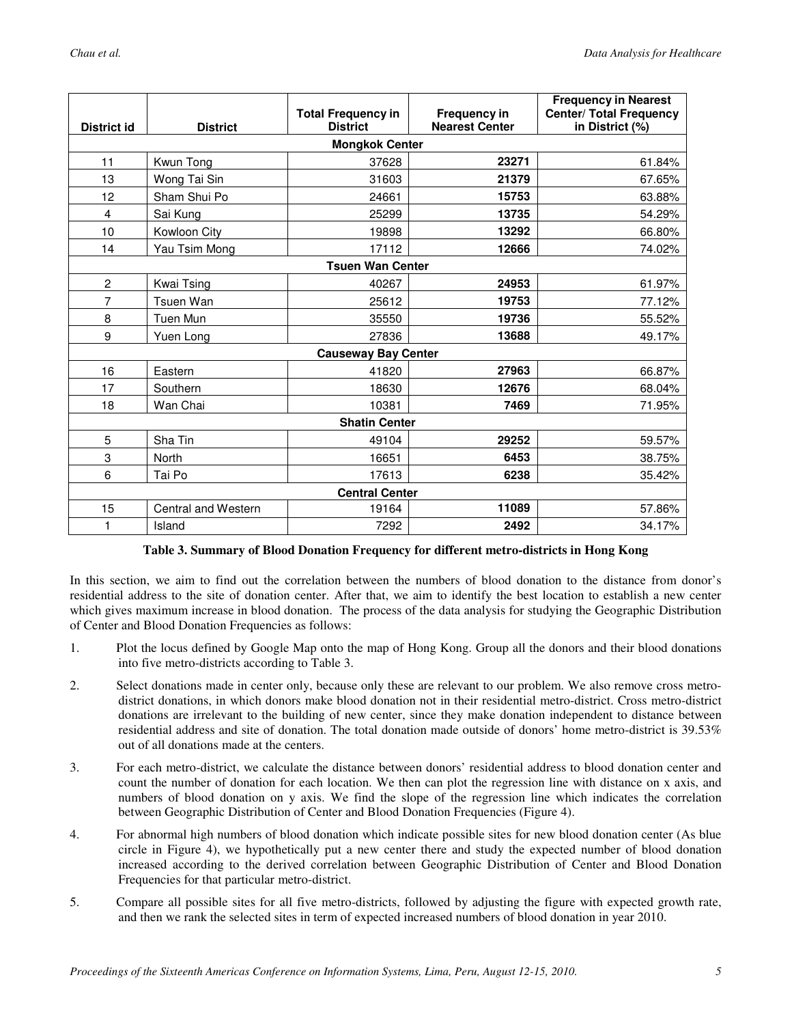| District id                | <b>District</b>     | <b>Total Frequency in</b><br><b>District</b> | <b>Frequency in</b><br><b>Nearest Center</b> | <b>Frequency in Nearest</b><br><b>Center/ Total Frequency</b><br>in District (%) |  |  |  |
|----------------------------|---------------------|----------------------------------------------|----------------------------------------------|----------------------------------------------------------------------------------|--|--|--|
| <b>Mongkok Center</b>      |                     |                                              |                                              |                                                                                  |  |  |  |
| 11                         | Kwun Tong           | 37628                                        | 23271                                        | 61.84%                                                                           |  |  |  |
| 13                         | Wong Tai Sin        | 31603                                        | 21379                                        | 67.65%                                                                           |  |  |  |
| 12                         | Sham Shui Po        | 24661                                        | 15753                                        | 63.88%                                                                           |  |  |  |
| $\overline{4}$             | Sai Kung            | 25299                                        | 13735                                        | 54.29%                                                                           |  |  |  |
| 10                         | Kowloon City        | 19898                                        | 13292                                        | 66.80%                                                                           |  |  |  |
| 14                         | Yau Tsim Mong       | 17112                                        | 12666                                        | 74.02%                                                                           |  |  |  |
| <b>Tsuen Wan Center</b>    |                     |                                              |                                              |                                                                                  |  |  |  |
| $\overline{2}$             | Kwai Tsing          | 40267                                        | 24953                                        | 61.97%                                                                           |  |  |  |
| 7                          | Tsuen Wan           | 25612                                        | 19753                                        | 77.12%                                                                           |  |  |  |
| 8                          | Tuen Mun            | 35550                                        | 19736                                        | 55.52%                                                                           |  |  |  |
| 9                          | Yuen Long           | 27836                                        | 13688                                        | 49.17%                                                                           |  |  |  |
| <b>Causeway Bay Center</b> |                     |                                              |                                              |                                                                                  |  |  |  |
| 16                         | Eastern             | 41820                                        | 27963                                        | 66.87%                                                                           |  |  |  |
| 17                         | Southern            | 18630                                        | 12676                                        | 68.04%                                                                           |  |  |  |
| 18                         | Wan Chai            | 10381                                        | 7469                                         | 71.95%                                                                           |  |  |  |
| <b>Shatin Center</b>       |                     |                                              |                                              |                                                                                  |  |  |  |
| 5                          | Sha Tin             | 49104                                        | 29252                                        | 59.57%                                                                           |  |  |  |
| 3                          | <b>North</b>        | 16651                                        | 6453                                         | 38.75%                                                                           |  |  |  |
| 6                          | Tai Po              | 17613                                        | 6238                                         | 35.42%                                                                           |  |  |  |
| <b>Central Center</b>      |                     |                                              |                                              |                                                                                  |  |  |  |
| 15                         | Central and Western | 19164                                        | 11089                                        | 57.86%                                                                           |  |  |  |
| 1                          | Island              | 7292                                         | 2492                                         | 34.17%                                                                           |  |  |  |

#### **Table 3. Summary of Blood Donation Frequency for different metro-districts in Hong Kong**

In this section, we aim to find out the correlation between the numbers of blood donation to the distance from donor's residential address to the site of donation center. After that, we aim to identify the best location to establish a new center which gives maximum increase in blood donation. The process of the data analysis for studying the Geographic Distribution of Center and Blood Donation Frequencies as follows:

- 1. Plot the locus defined by Google Map onto the map of Hong Kong. Group all the donors and their blood donations into five metro-districts according to Table 3.
- 2. Select donations made in center only, because only these are relevant to our problem. We also remove cross metrodistrict donations, in which donors make blood donation not in their residential metro-district. Cross metro-district donations are irrelevant to the building of new center, since they make donation independent to distance between residential address and site of donation. The total donation made outside of donors' home metro-district is 39.53% out of all donations made at the centers.
- 3. For each metro-district, we calculate the distance between donors' residential address to blood donation center and count the number of donation for each location. We then can plot the regression line with distance on x axis, and numbers of blood donation on y axis. We find the slope of the regression line which indicates the correlation between Geographic Distribution of Center and Blood Donation Frequencies (Figure 4).
- 4. For abnormal high numbers of blood donation which indicate possible sites for new blood donation center (As blue circle in Figure 4), we hypothetically put a new center there and study the expected number of blood donation increased according to the derived correlation between Geographic Distribution of Center and Blood Donation Frequencies for that particular metro-district.
- 5. Compare all possible sites for all five metro-districts, followed by adjusting the figure with expected growth rate, and then we rank the selected sites in term of expected increased numbers of blood donation in year 2010.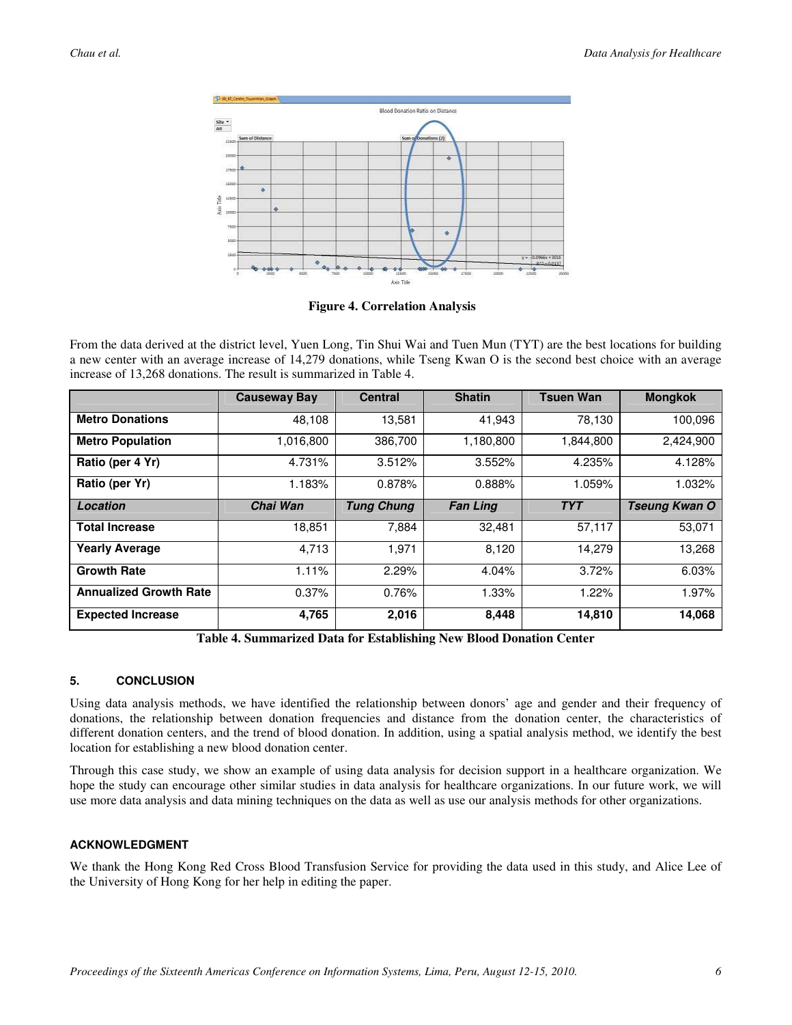

**Figure 4. Correlation Analysis** 

From the data derived at the district level, Yuen Long, Tin Shui Wai and Tuen Mun (TYT) are the best locations for building a new center with an average increase of 14,279 donations, while Tseng Kwan O is the second best choice with an average increase of 13,268 donations. The result is summarized in Table 4.

|                               | <b>Causeway Bay</b> | <b>Central</b>    | <b>Shatin</b>   | <b>Tsuen Wan</b> | <b>Mongkok</b> |
|-------------------------------|---------------------|-------------------|-----------------|------------------|----------------|
| <b>Metro Donations</b>        | 48,108              | 13,581            | 41,943          | 78,130           | 100,096        |
| <b>Metro Population</b>       | 1,016,800           | 386.700           | 1,180,800       | 1.844.800        | 2,424,900      |
| Ratio (per 4 Yr)              | 4.731%              | 3.512%            | 3.552%          | 4.235%           | 4.128%         |
| Ratio (per Yr)                | 1.183%              | 0.878%            | 0.888%          | 1.059%           | 1.032%         |
| Location                      | Chai Wan            | <b>Tung Chung</b> | <b>Fan Ling</b> | <b>TYT</b>       | Tseung Kwan O  |
| <b>Total Increase</b>         | 18,851              | 7,884             | 32,481          | 57,117           | 53,071         |
| <b>Yearly Average</b>         | 4,713               | 1,971             | 8,120           | 14,279           | 13,268         |
| <b>Growth Rate</b>            | 1.11%               | 2.29%             | 4.04%           | 3.72%            | 6.03%          |
| <b>Annualized Growth Rate</b> | 0.37%               | 0.76%             | 1.33%           | 1.22%            | 1.97%          |
| <b>Expected Increase</b>      | 4,765               | 2,016             | 8,448           | 14,810           | 14,068         |

**Table 4. Summarized Data for Establishing New Blood Donation Center** 

## **5. CONCLUSION**

Using data analysis methods, we have identified the relationship between donors' age and gender and their frequency of donations, the relationship between donation frequencies and distance from the donation center, the characteristics of different donation centers, and the trend of blood donation. In addition, using a spatial analysis method, we identify the best location for establishing a new blood donation center.

Through this case study, we show an example of using data analysis for decision support in a healthcare organization. We hope the study can encourage other similar studies in data analysis for healthcare organizations. In our future work, we will use more data analysis and data mining techniques on the data as well as use our analysis methods for other organizations.

### **ACKNOWLEDGMENT**

We thank the Hong Kong Red Cross Blood Transfusion Service for providing the data used in this study, and Alice Lee of the University of Hong Kong for her help in editing the paper.